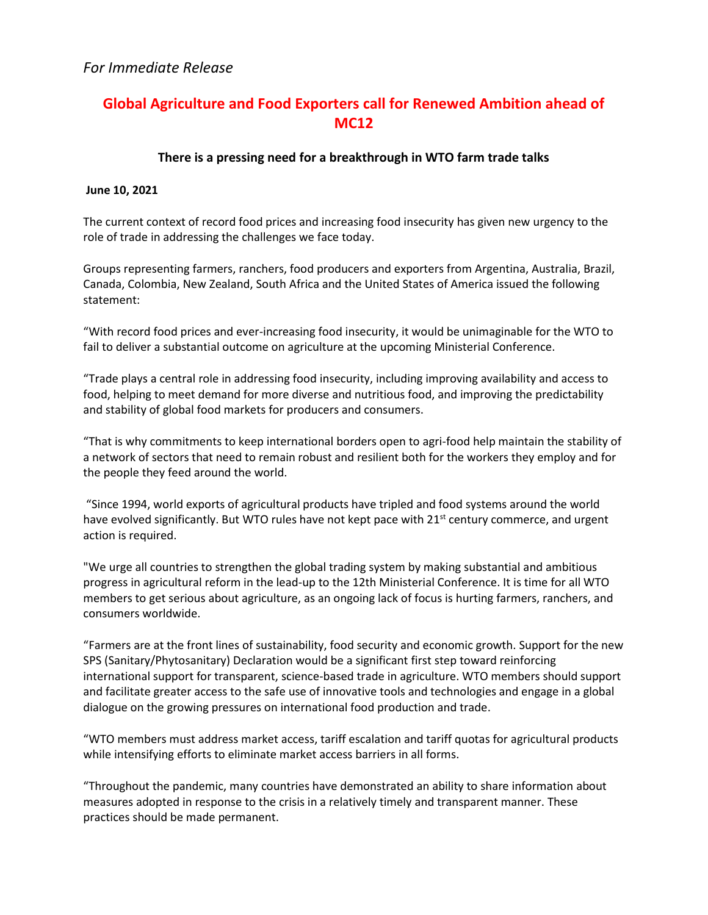# *For Immediate Release*

# **Global Agriculture and Food Exporters call for Renewed Ambition ahead of MC12**

## **There is a pressing need for a breakthrough in WTO farm trade talks**

#### **June 10, 2021**

The current context of record food prices and increasing food insecurity has given new urgency to the role of trade in addressing the challenges we face today.

Groups representing farmers, ranchers, food producers and exporters from Argentina, Australia, Brazil, Canada, Colombia, New Zealand, South Africa and the United States of America issued the following statement:

"With record food prices and ever-increasing food insecurity, it would be unimaginable for the WTO to fail to deliver a substantial outcome on agriculture at the upcoming Ministerial Conference.

"Trade plays a central role in addressing food insecurity, including improving availability and access to food, helping to meet demand for more diverse and nutritious food, and improving the predictability and stability of global food markets for producers and consumers.

"That is why commitments to keep international borders open to agri-food help maintain the stability of a network of sectors that need to remain robust and resilient both for the workers they employ and for the people they feed around the world.

"Since 1994, world exports of agricultural products have tripled and food systems around the world have evolved significantly. But WTO rules have not kept pace with  $21^{st}$  century commerce, and urgent action is required.

"We urge all countries to strengthen the global trading system by making substantial and ambitious progress in agricultural reform in the lead-up to the 12th Ministerial Conference. It is time for all WTO members to get serious about agriculture, as an ongoing lack of focus is hurting farmers, ranchers, and consumers worldwide.

"Farmers are at the front lines of sustainability, food security and economic growth. Support for the new SPS (Sanitary/Phytosanitary) Declaration would be a significant first step toward reinforcing international support for transparent, science-based trade in agriculture. WTO members should support and facilitate greater access to the safe use of innovative tools and technologies and engage in a global dialogue on the growing pressures on international food production and trade.

"WTO members must address market access, tariff escalation and tariff quotas for agricultural products while intensifying efforts to eliminate market access barriers in all forms.

"Throughout the pandemic, many countries have demonstrated an ability to share information about measures adopted in response to the crisis in a relatively timely and transparent manner. These practices should be made permanent.